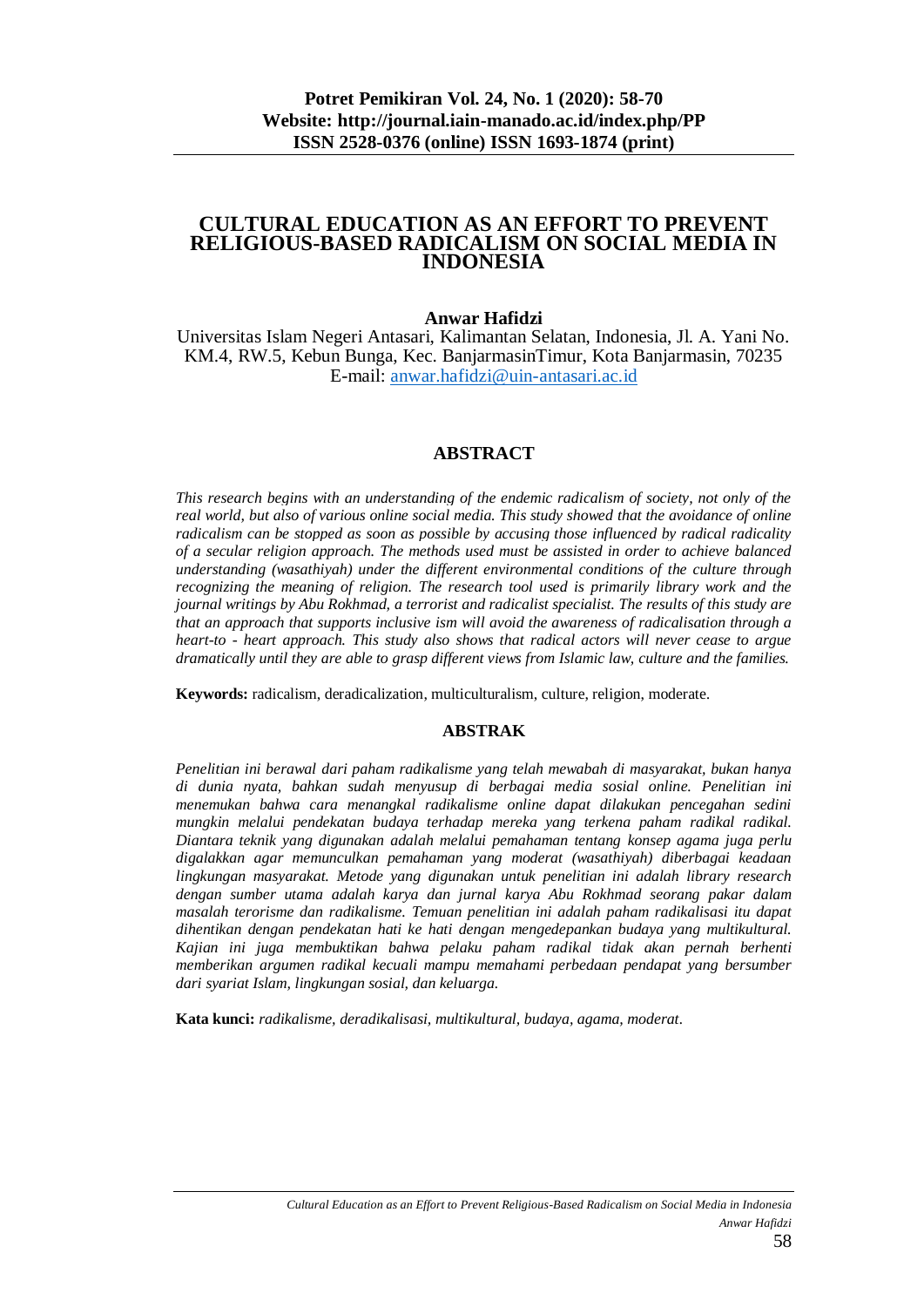#### **CULTURAL EDUCATION AS AN EFFORT TO PREVENT RELIGIOUS-BASED RADICALISM ON SOCIAL MEDIA IN INDONESIA**

#### **Anwar Hafidzi**

Universitas Islam Negeri Antasari, Kalimantan Selatan, Indonesia, Jl. A. Yani No. KM.4, RW.5, Kebun Bunga, Kec. BanjarmasinTimur, Kota Banjarmasin, 70235 E-mail: [anwar.hafidzi@uin-antasari.ac.id](mailto:anwar.hafidzi@uin-antasari.ac.id)

#### **ABSTRACT**

*This research begins with an understanding of the endemic radicalism of society, not only of the real world, but also of various online social media. This study showed that the avoidance of online radicalism can be stopped as soon as possible by accusing those influenced by radical radicality of a secular religion approach. The methods used must be assisted in order to achieve balanced understanding (wasathiyah) under the different environmental conditions of the culture through recognizing the meaning of religion. The research tool used is primarily library work and the journal writings by Abu Rokhmad, a terrorist and radicalist specialist. The results of this study are that an approach that supports inclusive ism will avoid the awareness of radicalisation through a heart-to - heart approach. This study also shows that radical actors will never cease to argue dramatically until they are able to grasp different views from Islamic law, culture and the families.*

**Keywords:** radicalism, deradicalization, multiculturalism, culture, religion, moderate*.*

#### **ABSTRAK**

*Penelitian ini berawal dari paham radikalisme yang telah mewabah di masyarakat, bukan hanya di dunia nyata, bahkan sudah menyusup di berbagai media sosial online. Penelitian ini menemukan bahwa cara menangkal radikalisme online dapat dilakukan pencegahan sedini mungkin melalui pendekatan budaya terhadap mereka yang terkena paham radikal radikal. Diantara teknik yang digunakan adalah melalui pemahaman tentang konsep agama juga perlu digalakkan agar memunculkan pemahaman yang moderat (wasathiyah) diberbagai keadaan lingkungan masyarakat. Metode yang digunakan untuk penelitian ini adalah library research dengan sumber utama adalah karya dan jurnal karya Abu Rokhmad seorang pakar dalam masalah terorisme dan radikalisme. Temuan penelitian ini adalah paham radikalisasi itu dapat dihentikan dengan pendekatan hati ke hati dengan mengedepankan budaya yang multikultural. Kajian ini juga membuktikan bahwa pelaku paham radikal tidak akan pernah berhenti memberikan argumen radikal kecuali mampu memahami perbedaan pendapat yang bersumber dari syariat Islam, lingkungan sosial, dan keluarga.*

**Kata kunci:** *radikalisme, deradikalisasi, multikultural, budaya, agama, moderat.*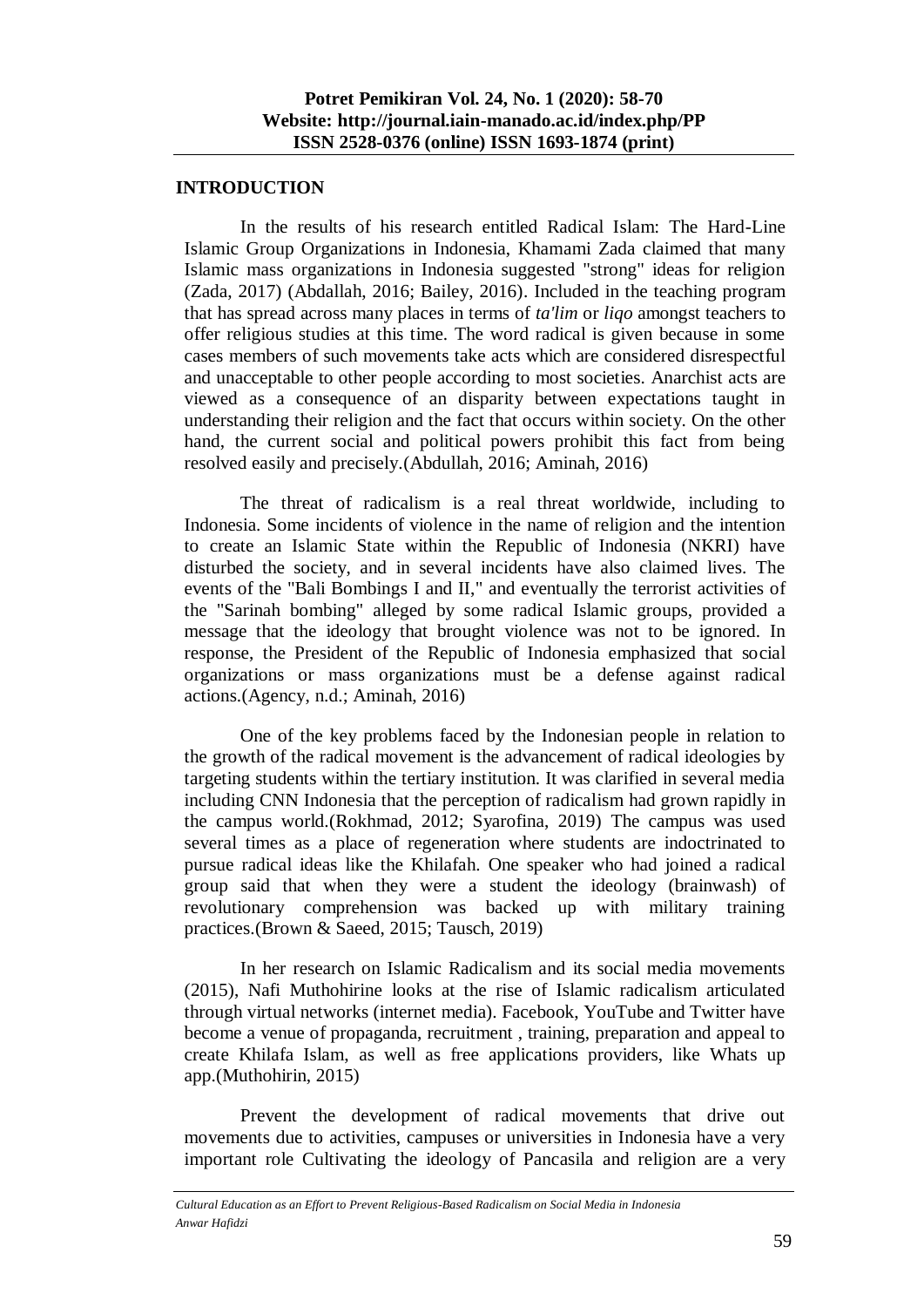#### **INTRODUCTION**

In the results of his research entitled Radical Islam: The Hard-Line Islamic Group Organizations in Indonesia, Khamami Zada claimed that many Islamic mass organizations in Indonesia suggested "strong" ideas for religion (Zada, 2017) (Abdallah, 2016; Bailey, 2016). Included in the teaching program that has spread across many places in terms of *ta'lim* or *liqo* amongst teachers to offer religious studies at this time. The word radical is given because in some cases members of such movements take acts which are considered disrespectful and unacceptable to other people according to most societies. Anarchist acts are viewed as a consequence of an disparity between expectations taught in understanding their religion and the fact that occurs within society. On the other hand, the current social and political powers prohibit this fact from being resolved easily and precisely.(Abdullah, 2016; Aminah, 2016)

The threat of radicalism is a real threat worldwide, including to Indonesia. Some incidents of violence in the name of religion and the intention to create an Islamic State within the Republic of Indonesia (NKRI) have disturbed the society, and in several incidents have also claimed lives. The events of the "Bali Bombings I and II," and eventually the terrorist activities of the "Sarinah bombing" alleged by some radical Islamic groups, provided a message that the ideology that brought violence was not to be ignored. In response, the President of the Republic of Indonesia emphasized that social organizations or mass organizations must be a defense against radical actions.(Agency, n.d.; Aminah, 2016)

One of the key problems faced by the Indonesian people in relation to the growth of the radical movement is the advancement of radical ideologies by targeting students within the tertiary institution. It was clarified in several media including CNN Indonesia that the perception of radicalism had grown rapidly in the campus world.(Rokhmad, 2012; Syarofina, 2019) The campus was used several times as a place of regeneration where students are indoctrinated to pursue radical ideas like the Khilafah. One speaker who had joined a radical group said that when they were a student the ideology (brainwash) of revolutionary comprehension was backed up with military training practices.(Brown & Saeed, 2015; Tausch, 2019)

In her research on Islamic Radicalism and its social media movements (2015), Nafi Muthohirine looks at the rise of Islamic radicalism articulated through virtual networks (internet media). Facebook, YouTube and Twitter have become a venue of propaganda, recruitment , training, preparation and appeal to create Khilafa Islam, as well as free applications providers, like Whats up app.(Muthohirin, 2015)

Prevent the development of radical movements that drive out movements due to activities, campuses or universities in Indonesia have a very important role Cultivating the ideology of Pancasila and religion are a very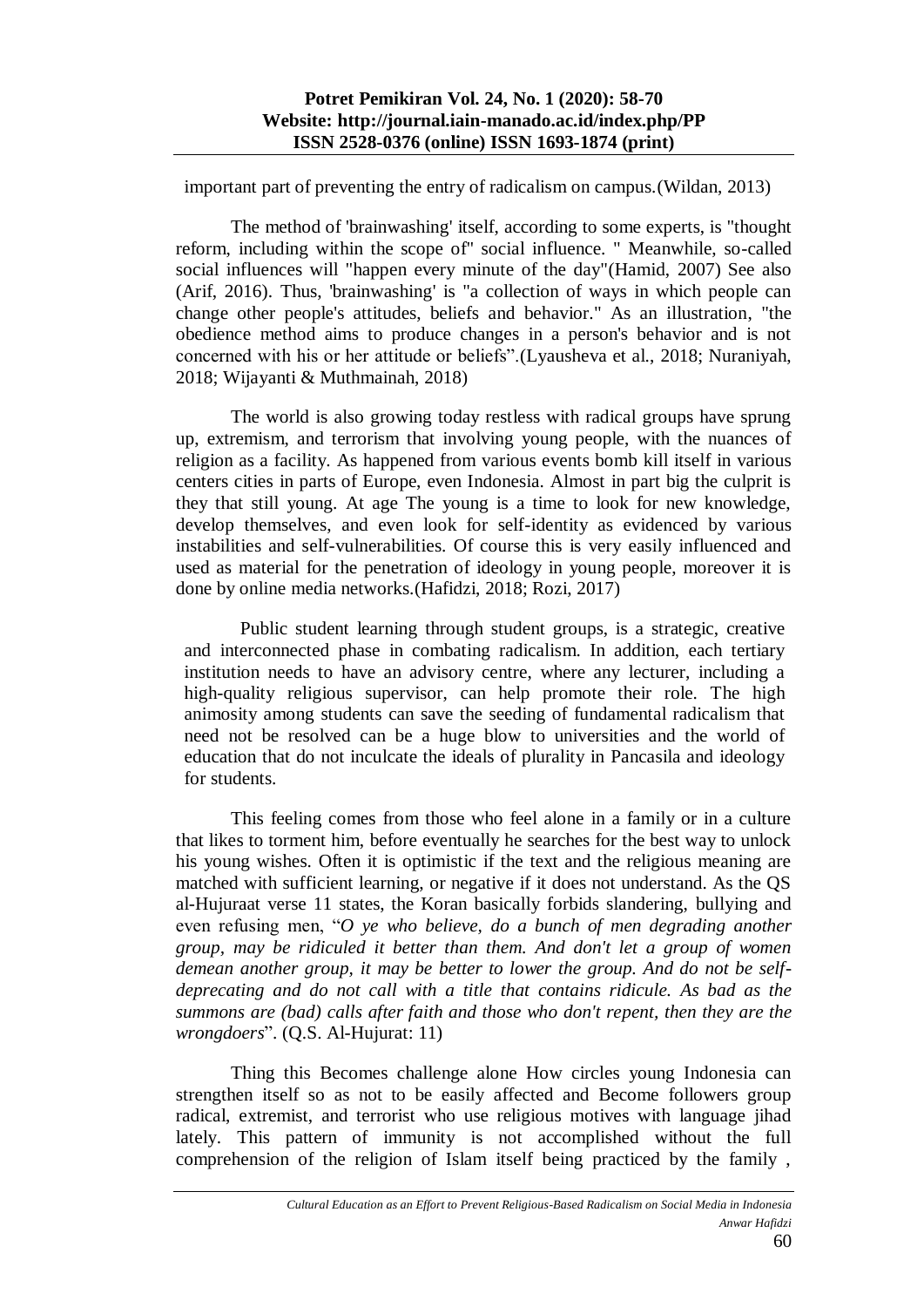important part of preventing the entry of radicalism on campus.(Wildan, 2013)

The method of 'brainwashing' itself, according to some experts, is "thought reform, including within the scope of" social influence. " Meanwhile, so-called social influences will "happen every minute of the day"(Hamid, 2007) See also (Arif, 2016). Thus, 'brainwashing' is "a collection of ways in which people can change other people's attitudes, beliefs and behavior." As an illustration, "the obedience method aims to produce changes in a person's behavior and is not concerned with his or her attitude or beliefs".(Lyausheva et al., 2018; Nuraniyah, 2018; Wijayanti & Muthmainah, 2018)

The world is also growing today restless with radical groups have sprung up, extremism, and terrorism that involving young people, with the nuances of religion as a facility. As happened from various events bomb kill itself in various centers cities in parts of Europe, even Indonesia. Almost in part big the culprit is they that still young. At age The young is a time to look for new knowledge, develop themselves, and even look for self-identity as evidenced by various instabilities and self-vulnerabilities. Of course this is very easily influenced and used as material for the penetration of ideology in young people, moreover it is done by online media networks.(Hafidzi, 2018; Rozi, 2017)

Public student learning through student groups, is a strategic, creative and interconnected phase in combating radicalism. In addition, each tertiary institution needs to have an advisory centre, where any lecturer, including a high-quality religious supervisor, can help promote their role. The high animosity among students can save the seeding of fundamental radicalism that need not be resolved can be a huge blow to universities and the world of education that do not inculcate the ideals of plurality in Pancasila and ideology for students.

This feeling comes from those who feel alone in a family or in a culture that likes to torment him, before eventually he searches for the best way to unlock his young wishes. Often it is optimistic if the text and the religious meaning are matched with sufficient learning, or negative if it does not understand. As the QS al-Hujuraat verse 11 states, the Koran basically forbids slandering, bullying and even refusing men, "*O ye who believe, do a bunch of men degrading another group, may be ridiculed it better than them. And don't let a group of women demean another group, it may be better to lower the group. And do not be selfdeprecating and do not call with a title that contains ridicule. As bad as the summons are (bad) calls after faith and those who don't repent, then they are the wrongdoers*". (Q.S. Al-Hujurat: 11)

Thing this Becomes challenge alone How circles young Indonesia can strengthen itself so as not to be easily affected and Become followers group radical, extremist, and terrorist who use religious motives with language jihad lately. This pattern of immunity is not accomplished without the full comprehension of the religion of Islam itself being practiced by the family ,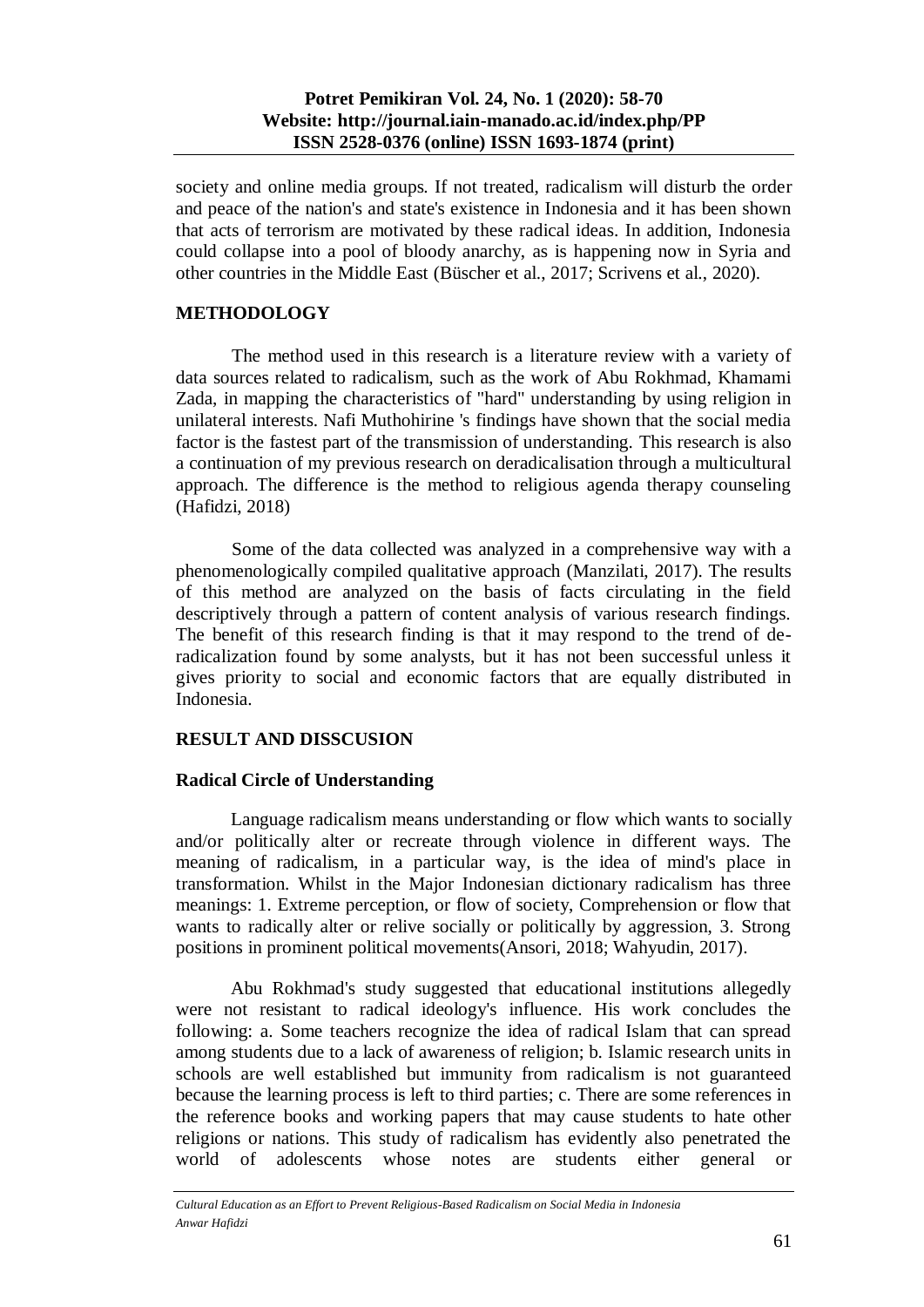society and online media groups. If not treated, radicalism will disturb the order and peace of the nation's and state's existence in Indonesia and it has been shown that acts of terrorism are motivated by these radical ideas. In addition, Indonesia could collapse into a pool of bloody anarchy, as is happening now in Syria and other countries in the Middle East (Büscher et al., 2017; Scrivens et al., 2020).

# **METHODOLOGY**

The method used in this research is a literature review with a variety of data sources related to radicalism, such as the work of Abu Rokhmad, Khamami Zada, in mapping the characteristics of "hard" understanding by using religion in unilateral interests. Nafi Muthohirine 's findings have shown that the social media factor is the fastest part of the transmission of understanding. This research is also a continuation of my previous research on deradicalisation through a multicultural approach. The difference is the method to religious agenda therapy counseling (Hafidzi, 2018)

Some of the data collected was analyzed in a comprehensive way with a phenomenologically compiled qualitative approach (Manzilati, 2017). The results of this method are analyzed on the basis of facts circulating in the field descriptively through a pattern of content analysis of various research findings. The benefit of this research finding is that it may respond to the trend of deradicalization found by some analysts, but it has not been successful unless it gives priority to social and economic factors that are equally distributed in Indonesia.

# **RESULT AND DISSCUSION**

# **Radical Circle of Understanding**

Language radicalism means understanding or flow which wants to socially and/or politically alter or recreate through violence in different ways. The meaning of radicalism, in a particular way, is the idea of mind's place in transformation. Whilst in the Major Indonesian dictionary radicalism has three meanings: 1. Extreme perception, or flow of society, Comprehension or flow that wants to radically alter or relive socially or politically by aggression, 3. Strong positions in prominent political movements(Ansori, 2018; Wahyudin, 2017).

Abu Rokhmad's study suggested that educational institutions allegedly were not resistant to radical ideology's influence. His work concludes the following: a. Some teachers recognize the idea of radical Islam that can spread among students due to a lack of awareness of religion; b. Islamic research units in schools are well established but immunity from radicalism is not guaranteed because the learning process is left to third parties; c. There are some references in the reference books and working papers that may cause students to hate other religions or nations. This study of radicalism has evidently also penetrated the world of adolescents whose notes are students either general or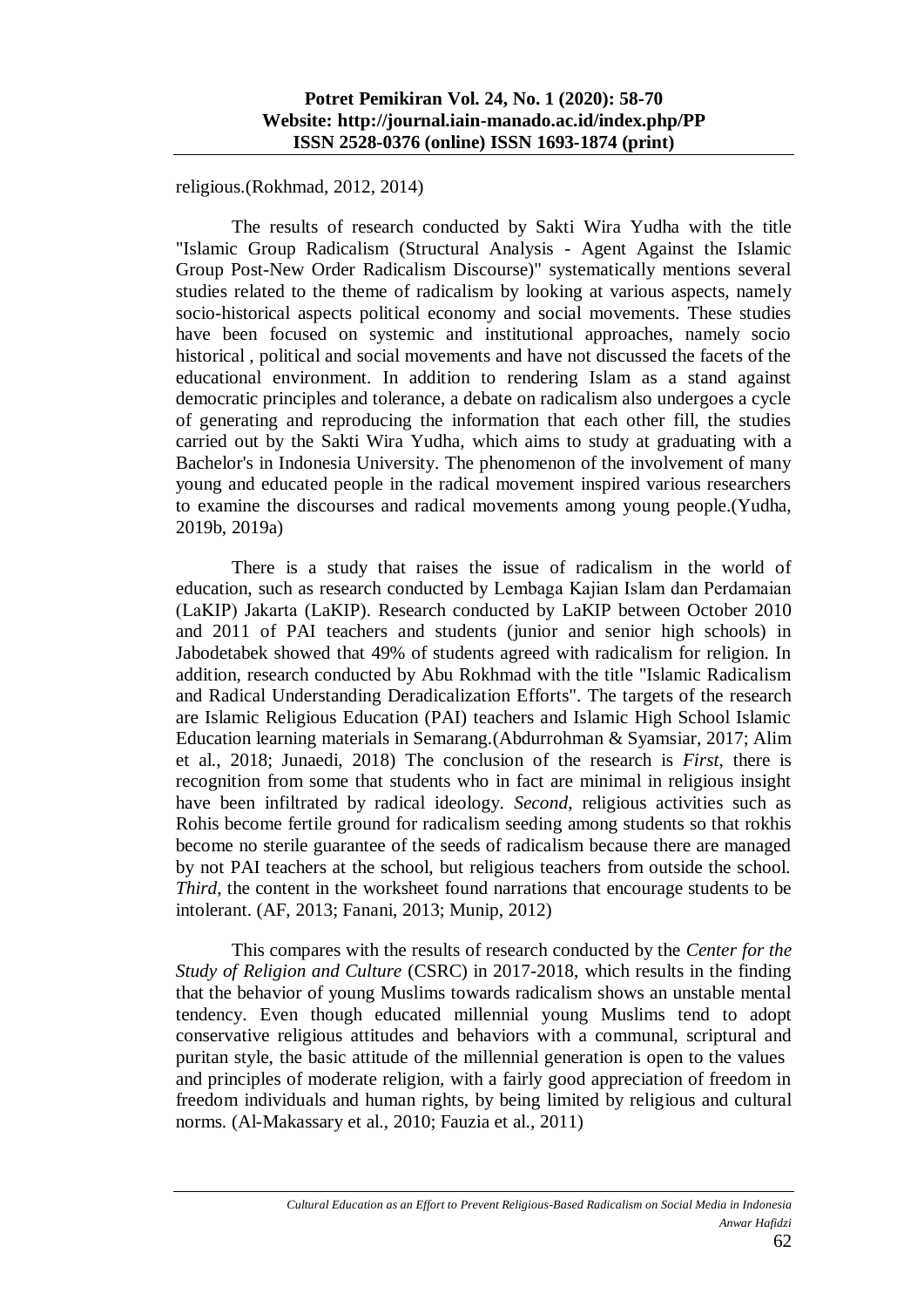religious.(Rokhmad, 2012, 2014)

The results of research conducted by Sakti Wira Yudha with the title "Islamic Group Radicalism (Structural Analysis - Agent Against the Islamic Group Post-New Order Radicalism Discourse)" systematically mentions several studies related to the theme of radicalism by looking at various aspects, namely socio-historical aspects political economy and social movements. These studies have been focused on systemic and institutional approaches, namely socio historical , political and social movements and have not discussed the facets of the educational environment. In addition to rendering Islam as a stand against democratic principles and tolerance, a debate on radicalism also undergoes a cycle of generating and reproducing the information that each other fill, the studies carried out by the Sakti Wira Yudha, which aims to study at graduating with a Bachelor's in Indonesia University. The phenomenon of the involvement of many young and educated people in the radical movement inspired various researchers to examine the discourses and radical movements among young people.(Yudha, 2019b, 2019a)

There is a study that raises the issue of radicalism in the world of education, such as research conducted by Lembaga Kajian Islam dan Perdamaian (LaKIP) Jakarta (LaKIP). Research conducted by LaKIP between October 2010 and 2011 of PAI teachers and students (junior and senior high schools) in Jabodetabek showed that 49% of students agreed with radicalism for religion. In addition, research conducted by Abu Rokhmad with the title "Islamic Radicalism and Radical Understanding Deradicalization Efforts". The targets of the research are Islamic Religious Education (PAI) teachers and Islamic High School Islamic Education learning materials in Semarang.(Abdurrohman & Syamsiar, 2017; Alim et al., 2018; Junaedi, 2018) The conclusion of the research is *First*, there is recognition from some that students who in fact are minimal in religious insight have been infiltrated by radical ideology. *Second*, religious activities such as Rohis become fertile ground for radicalism seeding among students so that rokhis become no sterile guarantee of the seeds of radicalism because there are managed by not PAI teachers at the school, but religious teachers from outside the school. *Third*, the content in the worksheet found narrations that encourage students to be intolerant. (AF, 2013; Fanani, 2013; Munip, 2012)

This compares with the results of research conducted by the *Center for the Study of Religion and Culture* (CSRC) in 2017-2018, which results in the finding that the behavior of young Muslims towards radicalism shows an unstable mental tendency. Even though educated millennial young Muslims tend to adopt conservative religious attitudes and behaviors with a communal, scriptural and puritan style, the basic attitude of the millennial generation is open to the values and principles of moderate religion, with a fairly good appreciation of freedom in freedom individuals and human rights, by being limited by religious and cultural norms. (Al-Makassary et al., 2010; Fauzia et al., 2011)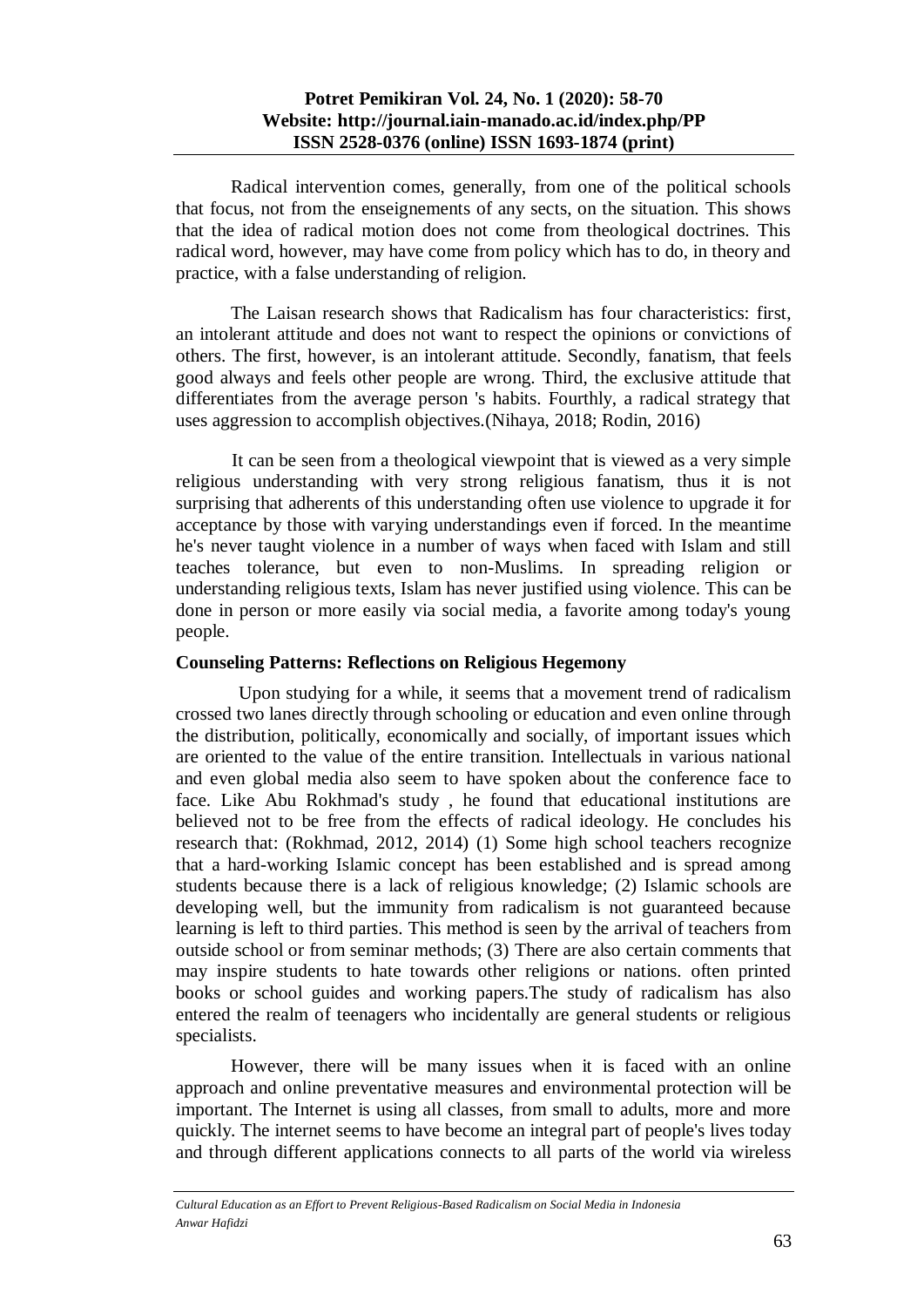### **Potret Pemikiran Vol. 24, No. 1 (2020): 58-70 Website: http://journal.iain-manado.ac.id/index.php/PP ISSN 2528-0376 (online) ISSN 1693-1874 (print)**

Radical intervention comes, generally, from one of the political schools that focus, not from the enseignements of any sects, on the situation. This shows that the idea of radical motion does not come from theological doctrines. This radical word, however, may have come from policy which has to do, in theory and practice, with a false understanding of religion.

The Laisan research shows that Radicalism has four characteristics: first, an intolerant attitude and does not want to respect the opinions or convictions of others. The first, however, is an intolerant attitude. Secondly, fanatism, that feels good always and feels other people are wrong. Third, the exclusive attitude that differentiates from the average person 's habits. Fourthly, a radical strategy that uses aggression to accomplish objectives.(Nihaya, 2018; Rodin, 2016)

It can be seen from a theological viewpoint that is viewed as a very simple religious understanding with very strong religious fanatism, thus it is not surprising that adherents of this understanding often use violence to upgrade it for acceptance by those with varying understandings even if forced. In the meantime he's never taught violence in a number of ways when faced with Islam and still teaches tolerance, but even to non-Muslims. In spreading religion or understanding religious texts, Islam has never justified using violence. This can be done in person or more easily via social media, a favorite among today's young people.

## **Counseling Patterns: Reflections on Religious Hegemony**

Upon studying for a while, it seems that a movement trend of radicalism crossed two lanes directly through schooling or education and even online through the distribution, politically, economically and socially, of important issues which are oriented to the value of the entire transition. Intellectuals in various national and even global media also seem to have spoken about the conference face to face. Like Abu Rokhmad's study , he found that educational institutions are believed not to be free from the effects of radical ideology. He concludes his research that: (Rokhmad, 2012, 2014) (1) Some high school teachers recognize that a hard-working Islamic concept has been established and is spread among students because there is a lack of religious knowledge; (2) Islamic schools are developing well, but the immunity from radicalism is not guaranteed because learning is left to third parties. This method is seen by the arrival of teachers from outside school or from seminar methods; (3) There are also certain comments that may inspire students to hate towards other religions or nations. often printed books or school guides and working papers.The study of radicalism has also entered the realm of teenagers who incidentally are general students or religious specialists.

However, there will be many issues when it is faced with an online approach and online preventative measures and environmental protection will be important. The Internet is using all classes, from small to adults, more and more quickly. The internet seems to have become an integral part of people's lives today and through different applications connects to all parts of the world via wireless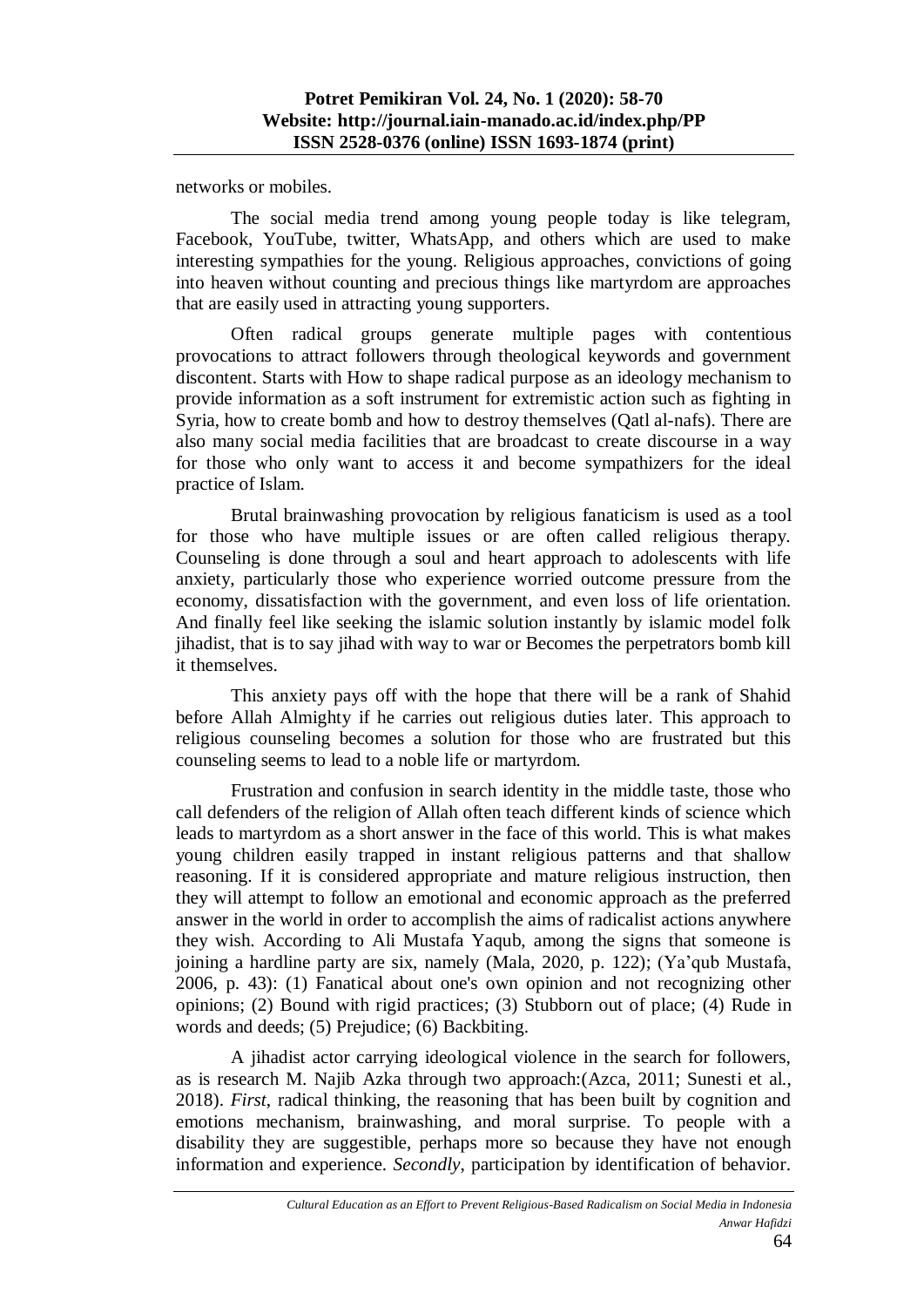networks or mobiles.

The social media trend among young people today is like telegram, Facebook, YouTube, twitter, WhatsApp, and others which are used to make interesting sympathies for the young. Religious approaches, convictions of going into heaven without counting and precious things like martyrdom are approaches that are easily used in attracting young supporters.

Often radical groups generate multiple pages with contentious provocations to attract followers through theological keywords and government discontent. Starts with How to shape radical purpose as an ideology mechanism to provide information as a soft instrument for extremistic action such as fighting in Syria, how to create bomb and how to destroy themselves (Qatl al-nafs). There are also many social media facilities that are broadcast to create discourse in a way for those who only want to access it and become sympathizers for the ideal practice of Islam.

Brutal brainwashing provocation by religious fanaticism is used as a tool for those who have multiple issues or are often called religious therapy. Counseling is done through a soul and heart approach to adolescents with life anxiety, particularly those who experience worried outcome pressure from the economy, dissatisfaction with the government, and even loss of life orientation. And finally feel like seeking the islamic solution instantly by islamic model folk jihadist, that is to say jihad with way to war or Becomes the perpetrators bomb kill it themselves.

This anxiety pays off with the hope that there will be a rank of Shahid before Allah Almighty if he carries out religious duties later. This approach to religious counseling becomes a solution for those who are frustrated but this counseling seems to lead to a noble life or martyrdom.

Frustration and confusion in search identity in the middle taste, those who call defenders of the religion of Allah often teach different kinds of science which leads to martyrdom as a short answer in the face of this world. This is what makes young children easily trapped in instant religious patterns and that shallow reasoning. If it is considered appropriate and mature religious instruction, then they will attempt to follow an emotional and economic approach as the preferred answer in the world in order to accomplish the aims of radicalist actions anywhere they wish. According to Ali Mustafa Yaqub, among the signs that someone is joining a hardline party are six, namely (Mala, 2020, p. 122); (Ya'qub Mustafa, 2006, p. 43): (1) Fanatical about one's own opinion and not recognizing other opinions; (2) Bound with rigid practices; (3) Stubborn out of place; (4) Rude in words and deeds; (5) Prejudice; (6) Backbiting.

A jihadist actor carrying ideological violence in the search for followers, as is research M. Najib Azka through two approach:(Azca, 2011; Sunesti et al., 2018). *First*, radical thinking, the reasoning that has been built by cognition and emotions mechanism, brainwashing, and moral surprise. To people with a disability they are suggestible, perhaps more so because they have not enough information and experience. *Secondly*, participation by identification of behavior.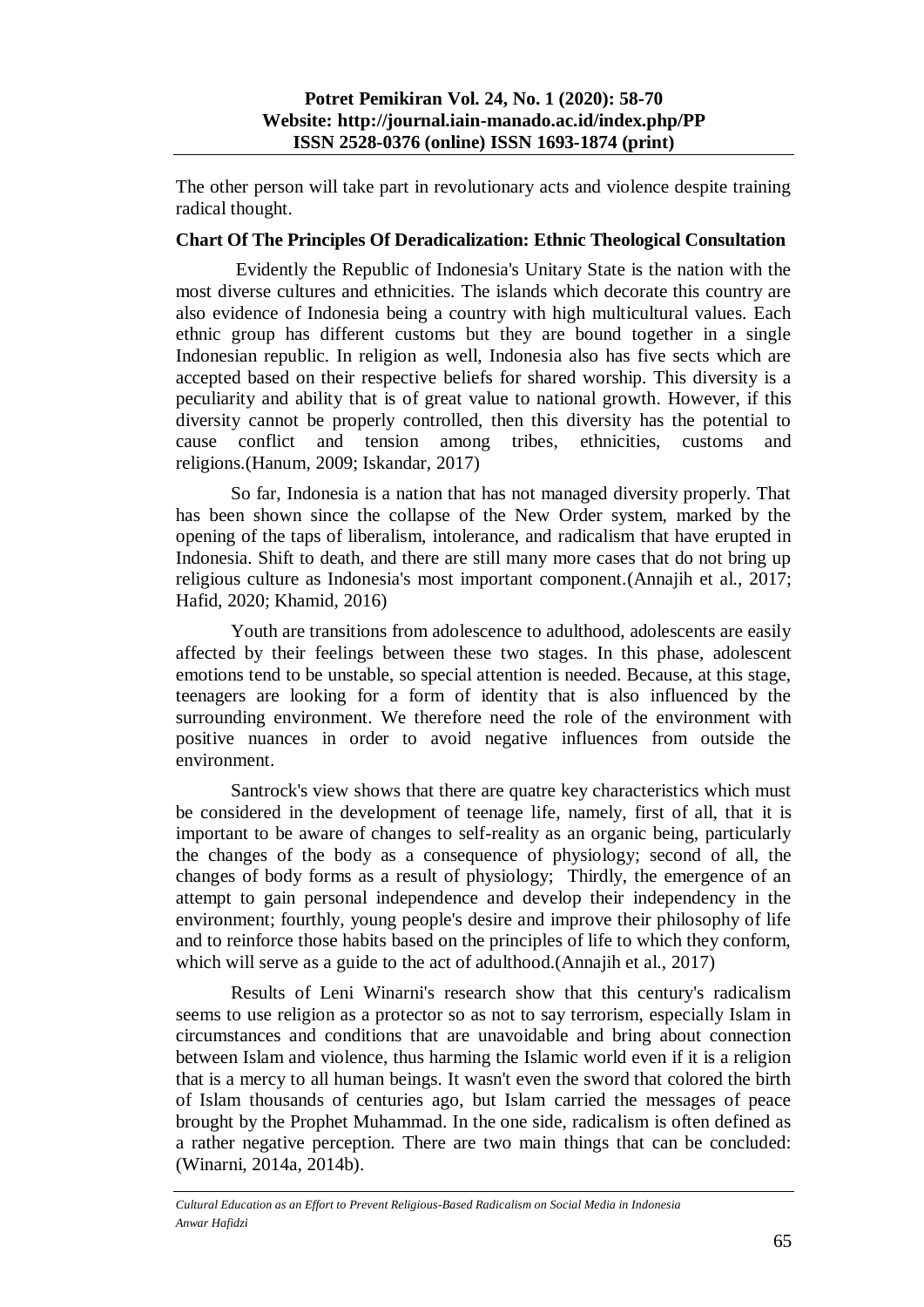The other person will take part in revolutionary acts and violence despite training radical thought.

#### **Chart Of The Principles Of Deradicalization: Ethnic Theological Consultation**

Evidently the Republic of Indonesia's Unitary State is the nation with the most diverse cultures and ethnicities. The islands which decorate this country are also evidence of Indonesia being a country with high multicultural values. Each ethnic group has different customs but they are bound together in a single Indonesian republic. In religion as well, Indonesia also has five sects which are accepted based on their respective beliefs for shared worship. This diversity is a peculiarity and ability that is of great value to national growth. However, if this diversity cannot be properly controlled, then this diversity has the potential to cause conflict and tension among tribes, ethnicities, customs and religions.(Hanum, 2009; Iskandar, 2017)

So far, Indonesia is a nation that has not managed diversity properly. That has been shown since the collapse of the New Order system, marked by the opening of the taps of liberalism, intolerance, and radicalism that have erupted in Indonesia. Shift to death, and there are still many more cases that do not bring up religious culture as Indonesia's most important component.(Annajih et al., 2017; Hafid, 2020; Khamid, 2016)

Youth are transitions from adolescence to adulthood, adolescents are easily affected by their feelings between these two stages. In this phase, adolescent emotions tend to be unstable, so special attention is needed. Because, at this stage, teenagers are looking for a form of identity that is also influenced by the surrounding environment. We therefore need the role of the environment with positive nuances in order to avoid negative influences from outside the environment.

Santrock's view shows that there are quatre key characteristics which must be considered in the development of teenage life, namely, first of all, that it is important to be aware of changes to self-reality as an organic being, particularly the changes of the body as a consequence of physiology; second of all, the changes of body forms as a result of physiology; Thirdly, the emergence of an attempt to gain personal independence and develop their independency in the environment; fourthly, young people's desire and improve their philosophy of life and to reinforce those habits based on the principles of life to which they conform, which will serve as a guide to the act of adulthood.(Annajih et al., 2017)

Results of Leni Winarni's research show that this century's radicalism seems to use religion as a protector so as not to say terrorism, especially Islam in circumstances and conditions that are unavoidable and bring about connection between Islam and violence, thus harming the Islamic world even if it is a religion that is a mercy to all human beings. It wasn't even the sword that colored the birth of Islam thousands of centuries ago, but Islam carried the messages of peace brought by the Prophet Muhammad. In the one side, radicalism is often defined as a rather negative perception. There are two main things that can be concluded: (Winarni, 2014a, 2014b).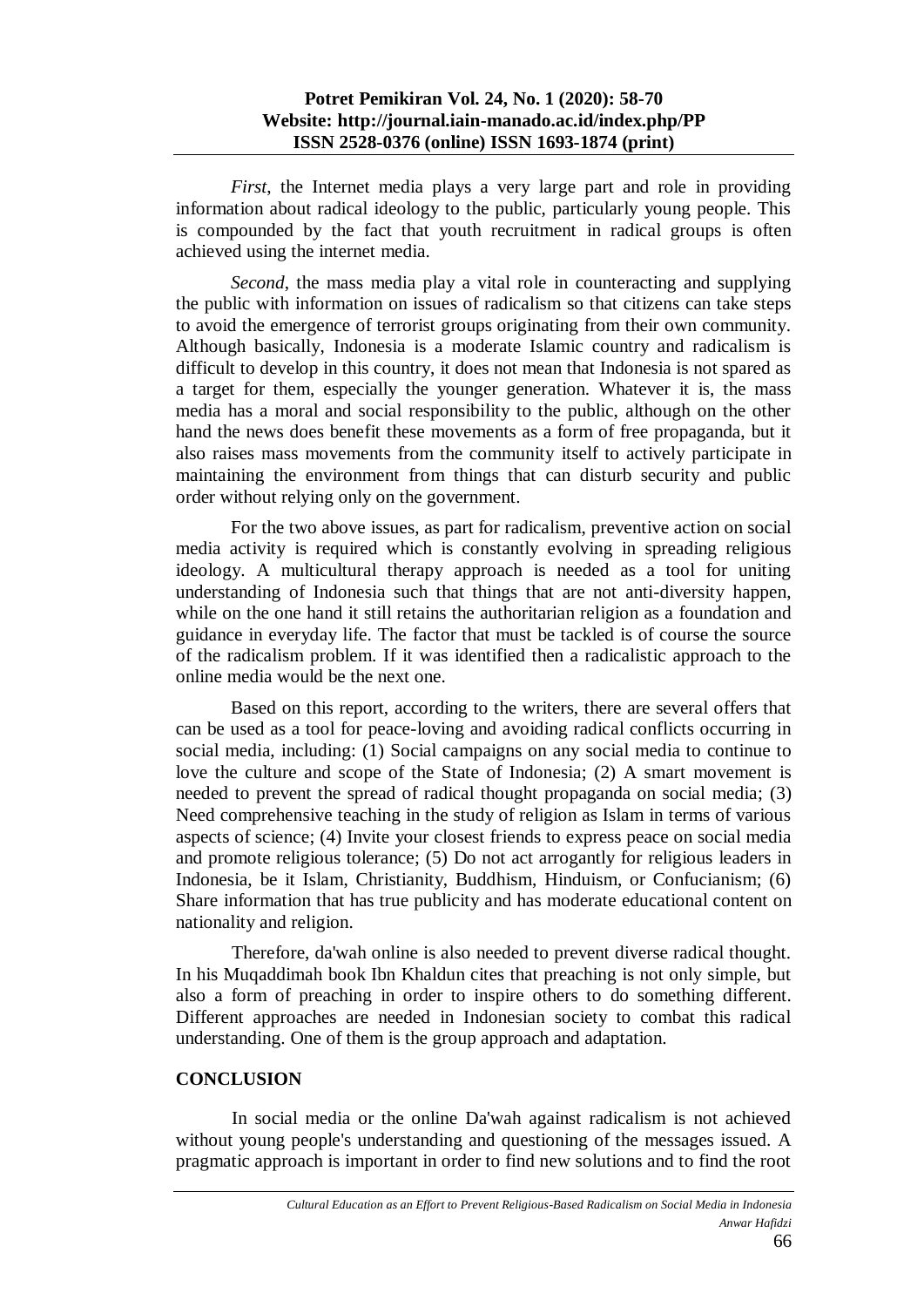## **Potret Pemikiran Vol. 24, No. 1 (2020): 58-70 Website: http://journal.iain-manado.ac.id/index.php/PP ISSN 2528-0376 (online) ISSN 1693-1874 (print)**

*First*, the Internet media plays a very large part and role in providing information about radical ideology to the public, particularly young people. This is compounded by the fact that youth recruitment in radical groups is often achieved using the internet media.

*Second*, the mass media play a vital role in counteracting and supplying the public with information on issues of radicalism so that citizens can take steps to avoid the emergence of terrorist groups originating from their own community. Although basically, Indonesia is a moderate Islamic country and radicalism is difficult to develop in this country, it does not mean that Indonesia is not spared as a target for them, especially the younger generation. Whatever it is, the mass media has a moral and social responsibility to the public, although on the other hand the news does benefit these movements as a form of free propaganda, but it also raises mass movements from the community itself to actively participate in maintaining the environment from things that can disturb security and public order without relying only on the government.

For the two above issues, as part for radicalism, preventive action on social media activity is required which is constantly evolving in spreading religious ideology. A multicultural therapy approach is needed as a tool for uniting understanding of Indonesia such that things that are not anti-diversity happen, while on the one hand it still retains the authoritarian religion as a foundation and guidance in everyday life. The factor that must be tackled is of course the source of the radicalism problem. If it was identified then a radicalistic approach to the online media would be the next one.

Based on this report, according to the writers, there are several offers that can be used as a tool for peace-loving and avoiding radical conflicts occurring in social media, including: (1) Social campaigns on any social media to continue to love the culture and scope of the State of Indonesia; (2) A smart movement is needed to prevent the spread of radical thought propaganda on social media; (3) Need comprehensive teaching in the study of religion as Islam in terms of various aspects of science; (4) Invite your closest friends to express peace on social media and promote religious tolerance; (5) Do not act arrogantly for religious leaders in Indonesia, be it Islam, Christianity, Buddhism, Hinduism, or Confucianism; (6) Share information that has true publicity and has moderate educational content on nationality and religion.

Therefore, da'wah online is also needed to prevent diverse radical thought. In his Muqaddimah book Ibn Khaldun cites that preaching is not only simple, but also a form of preaching in order to inspire others to do something different. Different approaches are needed in Indonesian society to combat this radical understanding. One of them is the group approach and adaptation.

## **CONCLUSION**

In social media or the online Da'wah against radicalism is not achieved without young people's understanding and questioning of the messages issued. A pragmatic approach is important in order to find new solutions and to find the root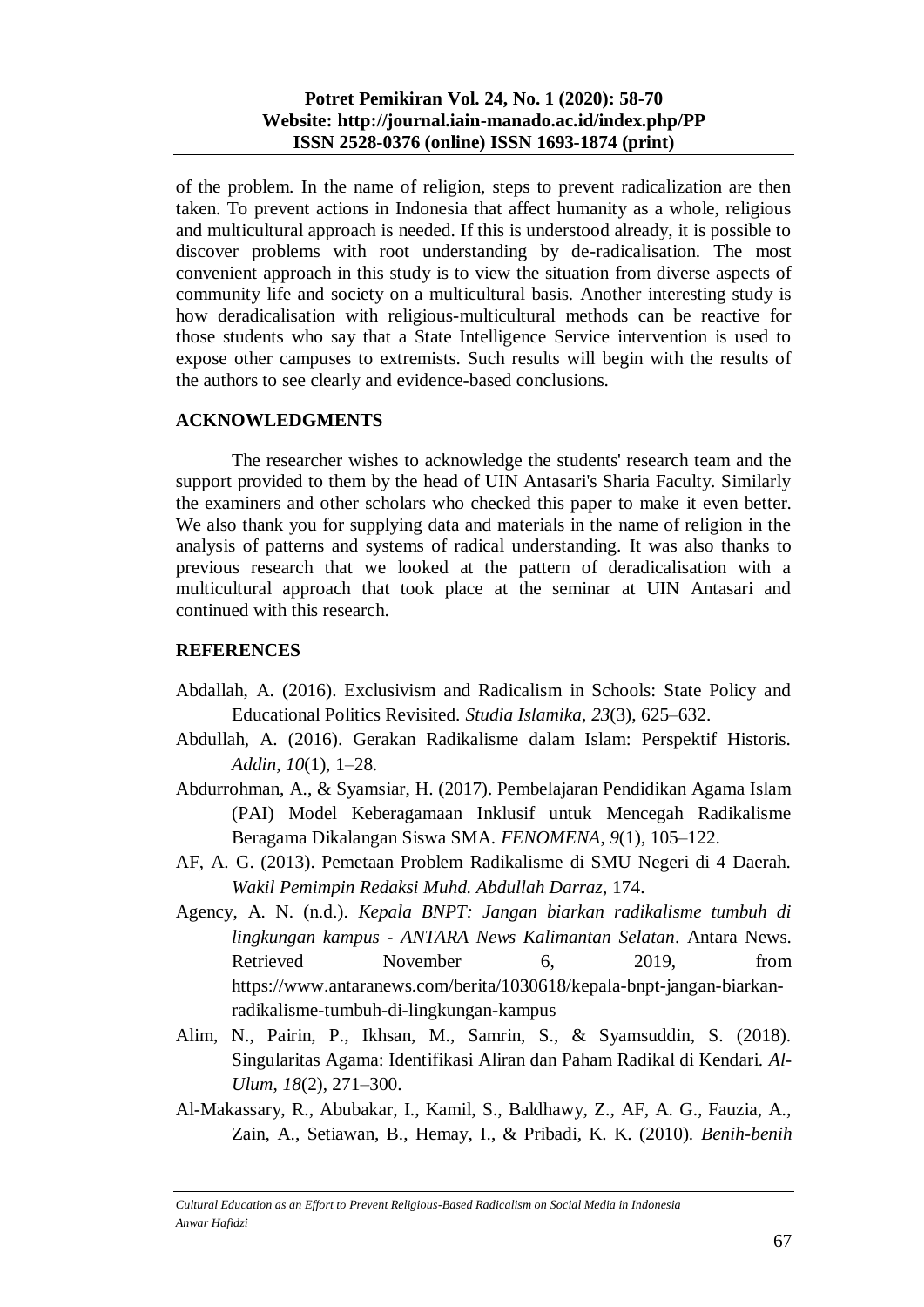of the problem. In the name of religion, steps to prevent radicalization are then taken. To prevent actions in Indonesia that affect humanity as a whole, religious and multicultural approach is needed. If this is understood already, it is possible to discover problems with root understanding by de-radicalisation. The most convenient approach in this study is to view the situation from diverse aspects of community life and society on a multicultural basis. Another interesting study is how deradicalisation with religious-multicultural methods can be reactive for those students who say that a State Intelligence Service intervention is used to expose other campuses to extremists. Such results will begin with the results of the authors to see clearly and evidence-based conclusions.

# **ACKNOWLEDGMENTS**

The researcher wishes to acknowledge the students' research team and the support provided to them by the head of UIN Antasari's Sharia Faculty. Similarly the examiners and other scholars who checked this paper to make it even better. We also thank you for supplying data and materials in the name of religion in the analysis of patterns and systems of radical understanding. It was also thanks to previous research that we looked at the pattern of deradicalisation with a multicultural approach that took place at the seminar at UIN Antasari and continued with this research.

## **REFERENCES**

- Abdallah, A. (2016). Exclusivism and Radicalism in Schools: State Policy and Educational Politics Revisited. *Studia Islamika*, *23*(3), 625–632.
- Abdullah, A. (2016). Gerakan Radikalisme dalam Islam: Perspektif Historis. *Addin*, *10*(1), 1–28.
- Abdurrohman, A., & Syamsiar, H. (2017). Pembelajaran Pendidikan Agama Islam (PAI) Model Keberagamaan Inklusif untuk Mencegah Radikalisme Beragama Dikalangan Siswa SMA. *FENOMENA*, *9*(1), 105–122.
- AF, A. G. (2013). Pemetaan Problem Radikalisme di SMU Negeri di 4 Daerah. *Wakil Pemimpin Redaksi Muhd. Abdullah Darraz*, 174.
- Agency, A. N. (n.d.). *Kepala BNPT: Jangan biarkan radikalisme tumbuh di lingkungan kampus - ANTARA News Kalimantan Selatan*. Antara News. Retrieved November 6, 2019, from https://www.antaranews.com/berita/1030618/kepala-bnpt-jangan-biarkanradikalisme-tumbuh-di-lingkungan-kampus
- Alim, N., Pairin, P., Ikhsan, M., Samrin, S., & Syamsuddin, S. (2018). Singularitas Agama: Identifikasi Aliran dan Paham Radikal di Kendari. *Al-Ulum*, *18*(2), 271–300.
- Al-Makassary, R., Abubakar, I., Kamil, S., Baldhawy, Z., AF, A. G., Fauzia, A., Zain, A., Setiawan, B., Hemay, I., & Pribadi, K. K. (2010). *Benih-benih*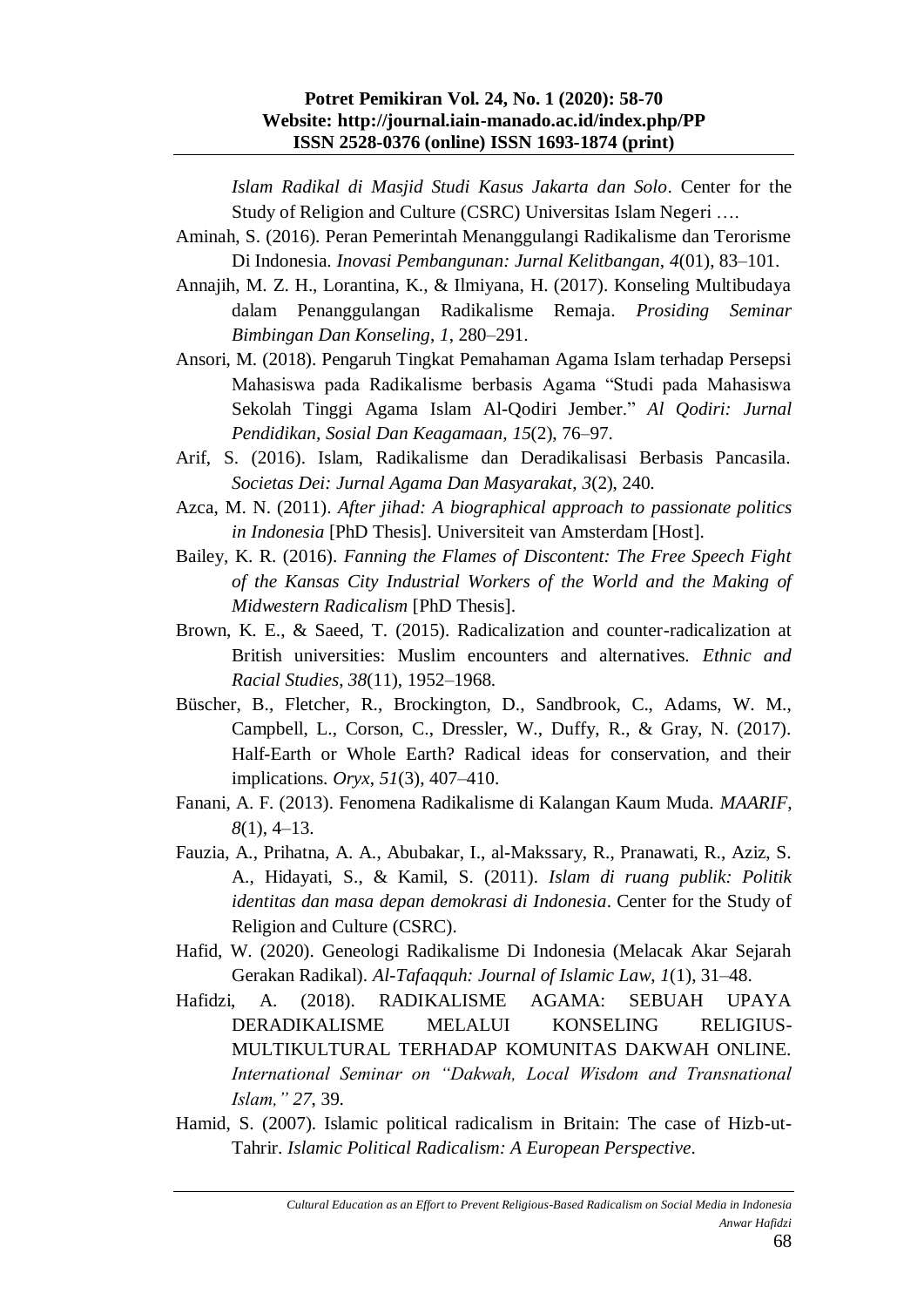#### **Potret Pemikiran Vol. 24, No. 1 (2020): 58-70 Website: http://journal.iain-manado.ac.id/index.php/PP ISSN 2528-0376 (online) ISSN 1693-1874 (print)**

*Islam Radikal di Masjid Studi Kasus Jakarta dan Solo*. Center for the Study of Religion and Culture (CSRC) Universitas Islam Negeri ….

- Aminah, S. (2016). Peran Pemerintah Menanggulangi Radikalisme dan Terorisme Di Indonesia. *Inovasi Pembangunan: Jurnal Kelitbangan*, *4*(01), 83–101.
- Annajih, M. Z. H., Lorantina, K., & Ilmiyana, H. (2017). Konseling Multibudaya dalam Penanggulangan Radikalisme Remaja. *Prosiding Seminar Bimbingan Dan Konseling*, *1*, 280–291.
- Ansori, M. (2018). Pengaruh Tingkat Pemahaman Agama Islam terhadap Persepsi Mahasiswa pada Radikalisme berbasis Agama "Studi pada Mahasiswa Sekolah Tinggi Agama Islam Al-Qodiri Jember." *Al Qodiri: Jurnal Pendidikan, Sosial Dan Keagamaan*, *15*(2), 76–97.
- Arif, S. (2016). Islam, Radikalisme dan Deradikalisasi Berbasis Pancasila. *Societas Dei: Jurnal Agama Dan Masyarakat*, *3*(2), 240.
- Azca, M. N. (2011). *After jihad: A biographical approach to passionate politics in Indonesia* [PhD Thesis]. Universiteit van Amsterdam [Host].
- Bailey, K. R. (2016). *Fanning the Flames of Discontent: The Free Speech Fight of the Kansas City Industrial Workers of the World and the Making of Midwestern Radicalism* [PhD Thesis].
- Brown, K. E., & Saeed, T. (2015). Radicalization and counter-radicalization at British universities: Muslim encounters and alternatives. *Ethnic and Racial Studies*, *38*(11), 1952–1968.
- Büscher, B., Fletcher, R., Brockington, D., Sandbrook, C., Adams, W. M., Campbell, L., Corson, C., Dressler, W., Duffy, R., & Gray, N. (2017). Half-Earth or Whole Earth? Radical ideas for conservation, and their implications. *Oryx*, *51*(3), 407–410.
- Fanani, A. F. (2013). Fenomena Radikalisme di Kalangan Kaum Muda. *MAARIF*, *8*(1), 4–13.
- Fauzia, A., Prihatna, A. A., Abubakar, I., al-Makssary, R., Pranawati, R., Aziz, S. A., Hidayati, S., & Kamil, S. (2011). *Islam di ruang publik: Politik identitas dan masa depan demokrasi di Indonesia*. Center for the Study of Religion and Culture (CSRC).
- Hafid, W. (2020). Geneologi Radikalisme Di Indonesia (Melacak Akar Sejarah Gerakan Radikal). *Al-Tafaqquh: Journal of Islamic Law*, *1*(1), 31–48.
- Hafidzi, A. (2018). RADIKALISME AGAMA: SEBUAH UPAYA DERADIKALISME MELALUI KONSELING RELIGIUS-MULTIKULTURAL TERHADAP KOMUNITAS DAKWAH ONLINE. *International Seminar on "Dakwah, Local Wisdom and Transnational Islam," 27*, 39.
- Hamid, S. (2007). Islamic political radicalism in Britain: The case of Hizb-ut-Tahrir. *Islamic Political Radicalism: A European Perspective*.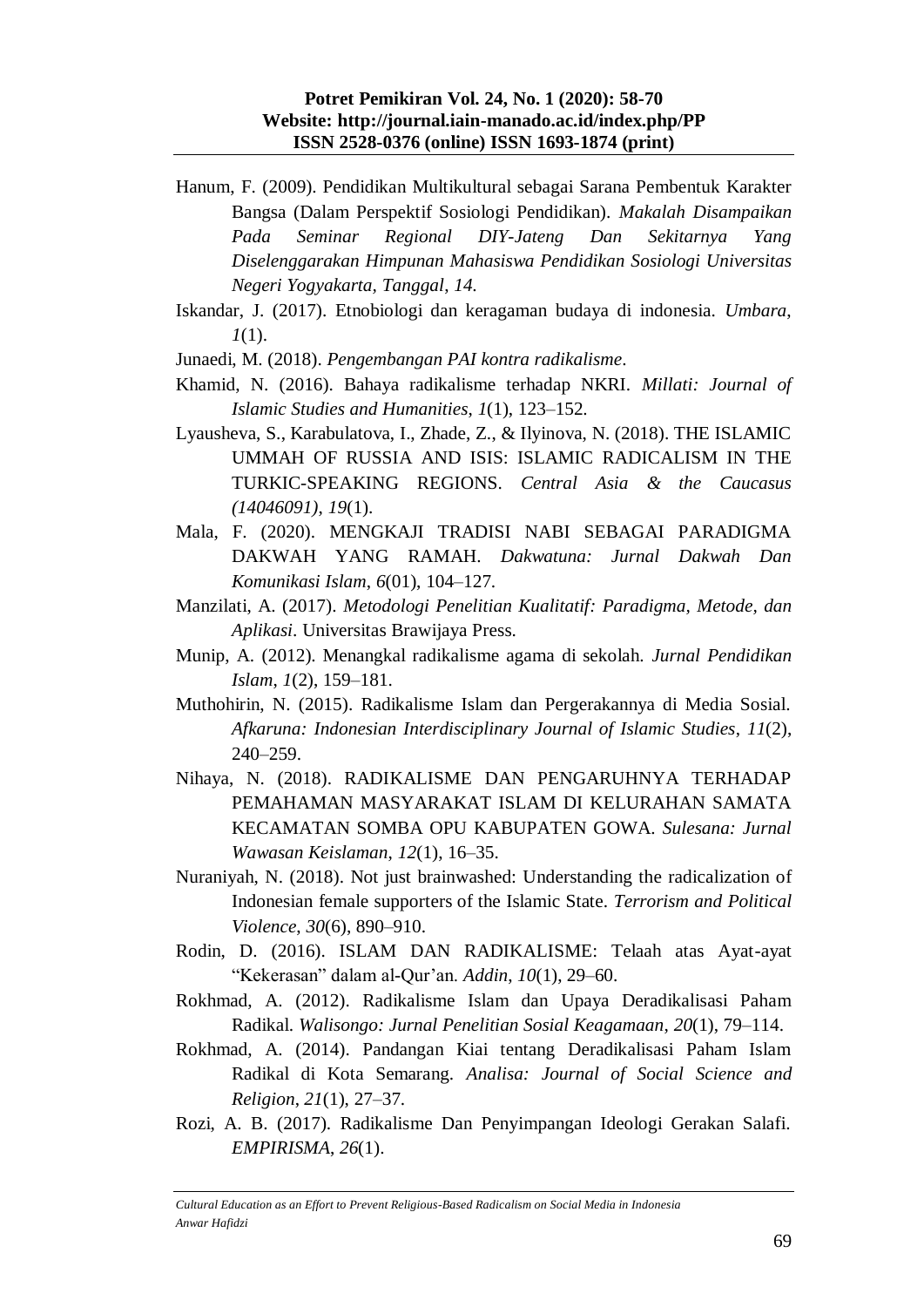- Hanum, F. (2009). Pendidikan Multikultural sebagai Sarana Pembentuk Karakter Bangsa (Dalam Perspektif Sosiologi Pendidikan). *Makalah Disampaikan Pada Seminar Regional DIY-Jateng Dan Sekitarnya Yang Diselenggarakan Himpunan Mahasiswa Pendidikan Sosiologi Universitas Negeri Yogyakarta, Tanggal*, *14*.
- Iskandar, J. (2017). Etnobiologi dan keragaman budaya di indonesia. *Umbara*, *1*(1).
- Junaedi, M. (2018). *Pengembangan PAI kontra radikalisme*.
- Khamid, N. (2016). Bahaya radikalisme terhadap NKRI. *Millati: Journal of Islamic Studies and Humanities*, *1*(1), 123–152.
- Lyausheva, S., Karabulatova, I., Zhade, Z., & Ilyinova, N. (2018). THE ISLAMIC UMMAH OF RUSSIA AND ISIS: ISLAMIC RADICALISM IN THE TURKIC-SPEAKING REGIONS. *Central Asia & the Caucasus (14046091)*, *19*(1).
- Mala, F. (2020). MENGKAJI TRADISI NABI SEBAGAI PARADIGMA DAKWAH YANG RAMAH. *Dakwatuna: Jurnal Dakwah Dan Komunikasi Islam*, *6*(01), 104–127.
- Manzilati, A. (2017). *Metodologi Penelitian Kualitatif: Paradigma, Metode, dan Aplikasi*. Universitas Brawijaya Press.
- Munip, A. (2012). Menangkal radikalisme agama di sekolah. *Jurnal Pendidikan Islam*, *1*(2), 159–181.
- Muthohirin, N. (2015). Radikalisme Islam dan Pergerakannya di Media Sosial. *Afkaruna: Indonesian Interdisciplinary Journal of Islamic Studies*, *11*(2), 240–259.
- Nihaya, N. (2018). RADIKALISME DAN PENGARUHNYA TERHADAP PEMAHAMAN MASYARAKAT ISLAM DI KELURAHAN SAMATA KECAMATAN SOMBA OPU KABUPATEN GOWA. *Sulesana: Jurnal Wawasan Keislaman*, *12*(1), 16–35.
- Nuraniyah, N. (2018). Not just brainwashed: Understanding the radicalization of Indonesian female supporters of the Islamic State. *Terrorism and Political Violence*, *30*(6), 890–910.
- Rodin, D. (2016). ISLAM DAN RADIKALISME: Telaah atas Ayat-ayat "Kekerasan" dalam al-Qur'an. *Addin*, *10*(1), 29–60.
- Rokhmad, A. (2012). Radikalisme Islam dan Upaya Deradikalisasi Paham Radikal. *Walisongo: Jurnal Penelitian Sosial Keagamaan*, *20*(1), 79–114.
- Rokhmad, A. (2014). Pandangan Kiai tentang Deradikalisasi Paham Islam Radikal di Kota Semarang. *Analisa: Journal of Social Science and Religion*, *21*(1), 27–37.
- Rozi, A. B. (2017). Radikalisme Dan Penyimpangan Ideologi Gerakan Salafi. *EMPIRISMA*, *26*(1).

*Cultural Education as an Effort to Prevent Religious-Based Radicalism on Social Media in Indonesia Anwar Hafidzi*